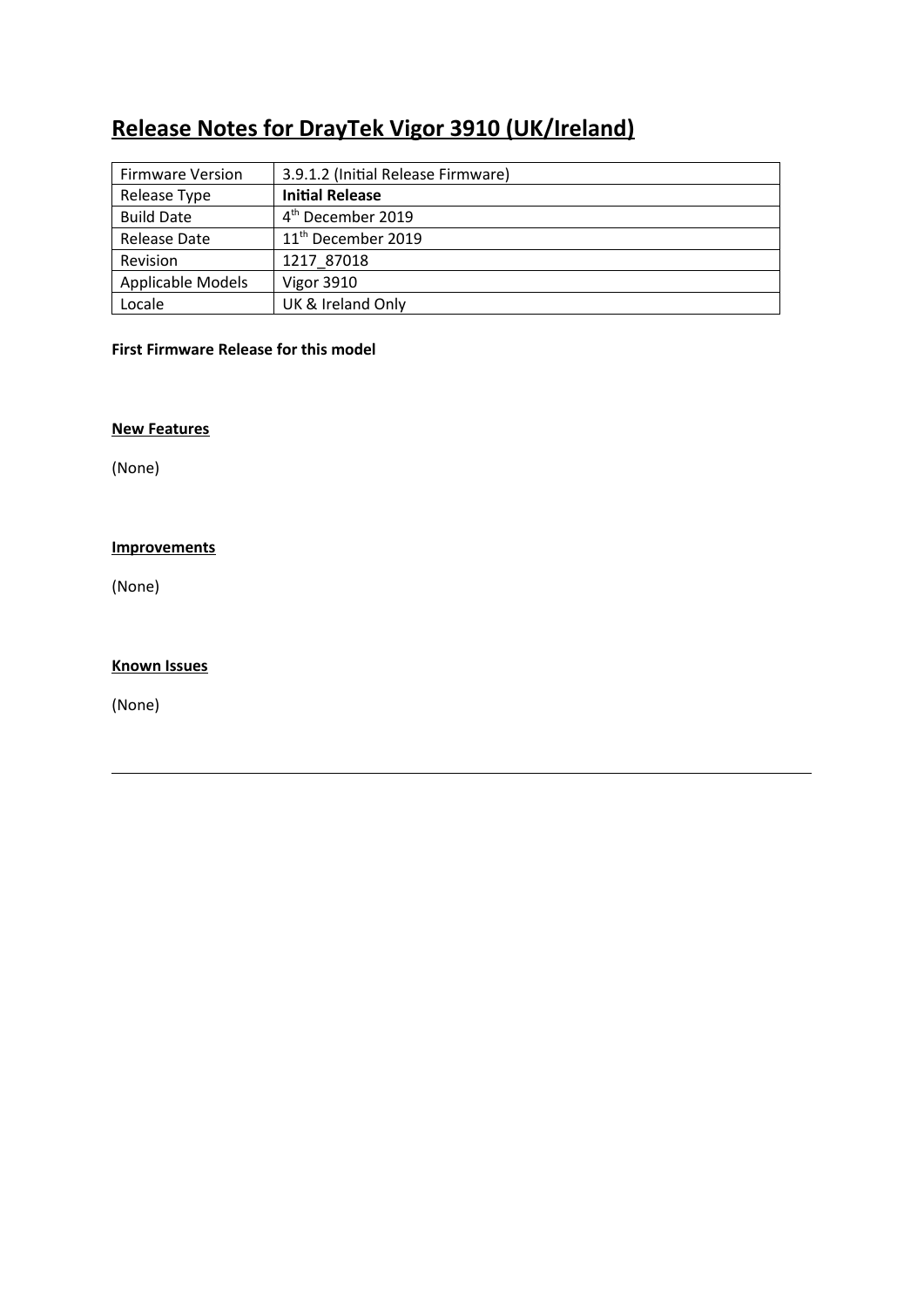# **Release Notes for DrayTek Vigor 3910 (UK/Ireland)**

| <b>Firmware Version</b> | 3.9.1.2 (Initial Release Firmware) |
|-------------------------|------------------------------------|
| Release Type            | <b>Initial Release</b>             |
| <b>Build Date</b>       | 4 <sup>th</sup> December 2019      |
| Release Date            | 11 <sup>th</sup> December 2019     |
| Revision                | 1217 87018                         |
| Applicable Models       | Vigor 3910                         |
| Locale                  | UK & Ireland Only                  |

# **First Firmware Release for this model**

#### **New Features**

(None)

## **Improvements**

(None)

#### **Known Issues**

(None)